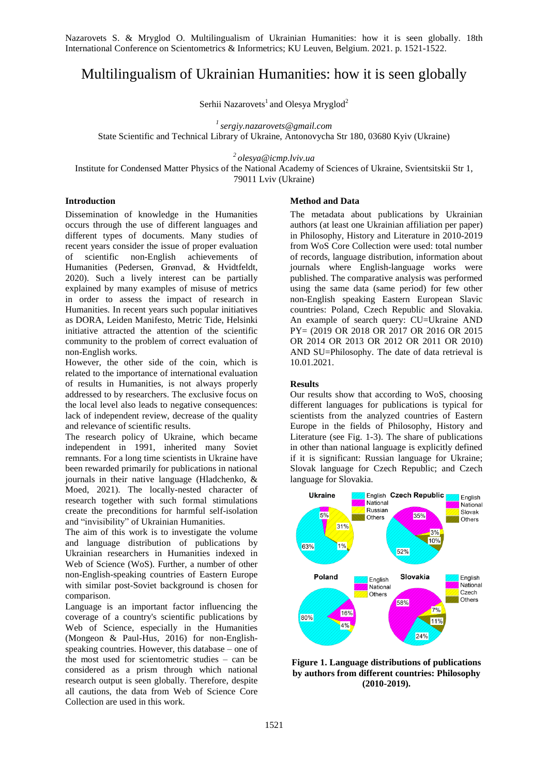Nazarovets S. & Mryglod O. Multilingualism of Ukrainian Humanities: how it is seen globally. 18th International Conference on Scientometrics & Informetrics; KU Leuven, Belgium. 2021. p. 1521-1522.

# Multilingualism of Ukrainian Humanities: how it is seen globally

Serhii Nazarovets<sup>1</sup> and Olesya Mryglod<sup>2</sup>

*1 sergiy.nazarovets@gmail.com*

State Scientific and Technical Library of Ukraine, Antonovycha Str 180, 03680 Kyiv (Ukraine)

*2 olesya@icmp.lviv.ua*

Institute for Condensed Matter Physics of the National Academy of Sciences of Ukraine, Svientsitskii Str 1, 79011 Lviv (Ukraine)

## **Introduction**

Dissemination of knowledge in the Humanities occurs through the use of different languages and different types of documents. Many studies of recent years consider the issue of proper evaluation of scientific non-English achievements of Humanities (Pedersen, Grønvad, & Hvidtfeldt, 2020). Such a lively interest can be partially explained by many examples of misuse of metrics in order to assess the impact of research in Humanities. In recent years such popular initiatives as DORA, Leiden Manifesto, Metric Tide, Helsinki initiative attracted the attention of the scientific community to the problem of correct evaluation of non-English works.

However, the other side of the coin, which is related to the importance of international evaluation of results in Humanities, is not always properly addressed to by researchers. The exclusive focus on the local level also leads to negative consequences: lack of independent review, decrease of the quality and relevance of scientific results.

The research policy of Ukraine, which became independent in 1991, inherited many Soviet remnants. For a long time scientists in Ukraine have been rewarded primarily for publications in national journals in their native language (Hladchenko, & Moed, 2021). The locally-nested character of research together with such formal stimulations create the preconditions for harmful self-isolation and "invisibility" of Ukrainian Humanities.

The aim of this work is to investigate the volume and language distribution of publications by Ukrainian researchers in Humanities indexed in Web of Science (WoS). Further, a number of other non-English-speaking countries of Eastern Europe with similar post-Soviet background is chosen for comparison.

Language is an important factor influencing the coverage of a country's scientific publications by Web of Science, especially in the Humanities (Mongeon & Paul-Hus, 2016) for non-Englishspeaking countries. However, this database – one of the most used for scientometric studies – can be considered as a prism through which national research output is seen globally. Therefore, despite all cautions, the data from Web of Science Core Collection are used in this work.

#### **Method and Data**

The metadata about publications by Ukrainian authors (at least one Ukrainian affiliation per paper) in Philosophy, History and Literature in 2010-2019 from WoS Core Collection were used: total number of records, language distribution, information about journals where English-language works were published. The comparative analysis was performed using the same data (same period) for few other non-English speaking Eastern European Slavic countries: Poland, Czech Republic and Slovakia. An example of search query: CU=Ukraine AND PY= (2019 OR 2018 OR 2017 OR 2016 OR 2015 OR 2014 OR 2013 OR 2012 OR 2011 OR 2010) AND SU=Philosophy. The date of data retrieval is 10.01.2021.

#### **Results**

Our results show that according to WoS, choosing different languages for publications is typical for scientists from the analyzed countries of Eastern Europe in the fields of Philosophy, History and Literature (see Fig. 1-3). The share of publications in other than national language is explicitly defined if it is significant: Russian language for Ukraine; Slovak language for Czech Republic; and Czech language for Slovakia.



**Figure 1. Language distributions of publications by authors from different countries: Philosophy (2010-2019).**